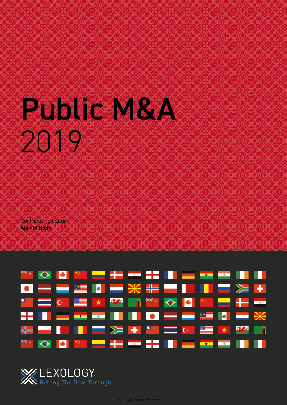# Public M&A 2019

Contributing editor Alan M Klein





© Law Business Research 2019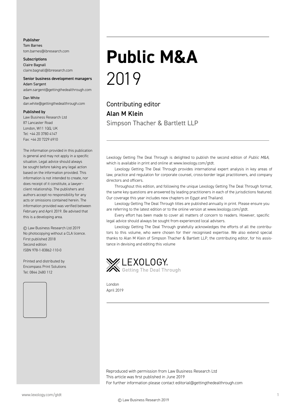#### Publisher

Tom Barnes tom.barnes@lbresearch.com

**Subscriptions** Claire Bagnall claire.bagnall@lbresearch.com

#### Senior business development managers Adam Sargent

adam.sargent@gettingthedealthrough.com

#### Dan White

dan.white@gettingthedealthrough.com

#### Published by

Law Business Research Ltd 87 Lancaster Road London, W11 1QQ, UK Tel: +44 20 3780 4147 Fax: +44 20 7229 6910

The information provided in this publication is general and may not apply in a specific situation. Legal advice should always be sought before taking any legal action based on the information provided. This information is not intended to create, nor does receipt of it constitute, a lawyer– client relationship. The publishers and authors accept no responsibility for any acts or omissions contained herein. The information provided was verified between February and April 2019. Be advised that this is a developing area.

© Law Business Research Ltd 2019 No photocopying without a CLA licence. First published 2018 Second edition ISBN 978-1-83862-110-0

Printed and distributed by Encompass Print Solutions Tel: 0844 2480 112



## **Public M&A** 2019

Contributing editor Alan M Klein Simpson Thacher & Bartlett LLP

Lexology Getting The Deal Through is delighted to publish the second edition of *Public M&A*, which is available in print and online at www.lexology.com/gtdt.

Lexology Getting The Deal Through provides international expert analysis in key areas of law, practice and regulation for corporate counsel, cross-border legal practitioners, and company directors and officers.

Throughout this edition, and following the unique Lexology Getting The Deal Through format, the same key questions are answered by leading practitioners in each of the jurisdictions featured. Our coverage this year includes new chapters on Egypt and Thailand.

Lexology Getting The Deal Through titles are published annually in print. Please ensure you are referring to the latest edition or to the online version at www.lexology.com/gtdt.

Every effort has been made to cover all matters of concern to readers. However, specific legal advice should always be sought from experienced local advisers.

Lexology Getting The Deal Through gratefully acknowledges the efforts of all the contributors to this volume, who were chosen for their recognised expertise. We also extend special thanks to Alan M Klein of Simpson Thacher & Bartlett LLP, the contributing editor, for his assistance in devising and editing this volume



London April 2019

Reproduced with permission from Law Business Research Ltd This article was first published in June 2019 For further information please contact editorial@gettingthedealthrough.com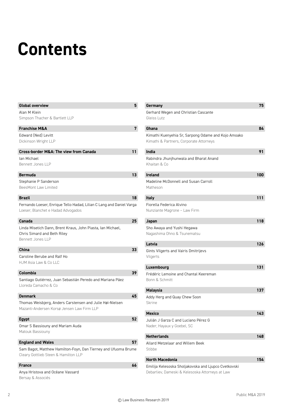## **Contents**

| <b>Global overview</b>                                               | 5  |
|----------------------------------------------------------------------|----|
| Alan M Klein                                                         |    |
| Simpson Thacher & Bartlett LLP                                       |    |
| <b>Franchise M&amp;A</b>                                             | 7  |
| Edward (Ned) Levitt                                                  |    |
| Dickinson Wright LLP                                                 |    |
| Cross-border M&A: The view from Canada                               | 11 |
| Ian Michael                                                          |    |
| Bennett Jones LLP                                                    |    |
| <b>Bermuda</b>                                                       | 13 |
| Stephanie P Sanderson                                                |    |
| BeesMont Law Limited                                                 |    |
| <b>Brazil</b>                                                        | 18 |
| Fernando Loeser, Enrique Tello Hadad, Lilian C Lang and Daniel Varga |    |
| Loeser, Blanchet e Hadad Advogados                                   |    |
| Canada                                                               | 25 |
| Linda Misetich Dann, Brent Kraus, John Piasta, Ian Michael,          |    |
| Chris Simard and Beth Riley                                          |    |
| <b>Bennett Jones LLP</b>                                             |    |
| <b>China</b>                                                         | 33 |
| Caroline Berube and Ralf Ho                                          |    |
| HJM Asia Law & Co LLC                                                |    |
| Colombia                                                             | 39 |
| Santiago Gutiérrez, Juan Sebastián Peredo and Mariana Páez           |    |
| Lloreda Camacho & Co                                                 |    |
| <b>Denmark</b>                                                       | 45 |
| Thomas Weisbjerg, Anders Carstensen and Julie Høi-Nielsen            |    |
| Mazanti-Andersen Korsø Jensen Law Firm LLP                           |    |
| <b>Egypt</b>                                                         | 52 |
| Omar S Bassiouny and Mariam Auda                                     |    |
| Matouk Bassiouny                                                     |    |
| <b>England and Wales</b>                                             | 57 |
| Sam Bagot, Matthew Hamilton-Foyn, Dan Tierney and Ufuoma Brume       |    |
| Cleary Gottlieb Steen & Hamilton LLP                                 |    |
| <b>France</b>                                                        | 66 |
| Anya Hristova and Océane Vassard                                     |    |
| Bersay & Associés                                                    |    |

| Germany                                                | 75  |
|--------------------------------------------------------|-----|
| Gerhard Wegen and Christian Cascante                   |     |
| Gleiss Lutz                                            |     |
| Ghana                                                  | 84  |
| Kimathi Kuenyehia Sr, Sarpong Odame and Kojo Amoako    |     |
| Kimathi & Partners, Corporate Attorneys                |     |
| India                                                  | 91  |
| Rabindra Jhunjhunwala and Bharat Anand<br>Khaitan & Co |     |
| <b>Ireland</b>                                         | 100 |
| Madeline McDonnell and Susan Carroll                   |     |
| Matheson                                               |     |
| <b>Italy</b>                                           | 111 |
| Fiorella Federica Alvino                               |     |
| Nunziante Magrone - Law Firm                           |     |
| Japan                                                  | 118 |
| Sho Awaya and Yushi Hegawa                             |     |
| Nagashima Ohno & Tsunematsu                            |     |
| Latvia                                                 | 126 |
| Gints Vilgerts and Vairis Dmitrijevs                   |     |
| Vilgerts                                               |     |
| Luxembourg                                             | 131 |
| Frédéric Lemoine and Chantal Keereman                  |     |
| Bonn & Schmitt                                         |     |
| <b>Malaysia</b>                                        | 137 |
| Addy Herg and Quay Chew Soon                           |     |
| <b>Skrine</b>                                          |     |
| Mexico                                                 | 143 |
| Julián J Garza C and Luciano Pérez G                   |     |
| Nader, Hayaux y Goebel, SC                             |     |
| <b>Netherlands</b>                                     | 148 |
| Allard Metzelaar and Willem Beek                       |     |
| <b>Stibbe</b>                                          |     |
| <b>North Macedonia</b>                                 | 154 |
| Emilija Kelesoska Sholjakovska and Ljupco Cvetkovski   |     |
| Debarliev, Dameski & Kelesoska Attorneys at Law        |     |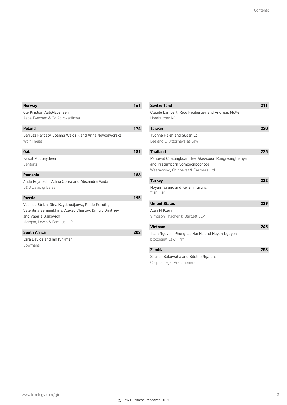| <b>Norway</b>                                                                                                                                                          | 161 |
|------------------------------------------------------------------------------------------------------------------------------------------------------------------------|-----|
| Ole Kristian Aabø-Evensen<br>Aabø-Evensen & Co Advokatfirma                                                                                                            |     |
| Poland                                                                                                                                                                 | 174 |
| Dariusz Harbaty, Joanna Wajdzik and Anna Nowodworska<br><b>Wolf Theiss</b>                                                                                             |     |
| Qatar                                                                                                                                                                  | 181 |
| Faisal Moubaydeen<br>Dentons                                                                                                                                           |     |
| Romania                                                                                                                                                                | 186 |
| Anda Rojanschi, Adina Oprea and Alexandra Vaida<br>D&B David si Baias                                                                                                  |     |
| <b>Russia</b>                                                                                                                                                          | 195 |
| Vasilisa Strizh, Dina Kzylkhodjaeva, Philip Korotin,<br>Valentina Semenikhina, Alexey Chertov, Dmitry Dmitriev<br>and Valeria Gaikovich<br>Morgan, Lewis & Bockius LLP |     |
| <b>South Africa</b>                                                                                                                                                    | 202 |
| <b>Fzra Davids and Jan Kirkman</b>                                                                                                                                     |     |
| <b>Bowmans</b>                                                                                                                                                         |     |

| <b>Switzerland</b>                                                                                                        | 211 |
|---------------------------------------------------------------------------------------------------------------------------|-----|
| Claude Lambert, Reto Heuberger and Andreas Müller<br>Homburger AG                                                         |     |
| <b>Taiwan</b>                                                                                                             | 220 |
| Yvonne Hsieh and Susan Lo<br>Lee and Li, Attorneys-at-Law                                                                 |     |
| <b>Thailand</b>                                                                                                           | 225 |
| Panuwat Chalongkuamdee, Akeviboon Rungreungthanya<br>and Pratumporn Somboonpoonpol<br>Weerawong, Chinnavat & Partners Ltd |     |
| <b>Turkey</b>                                                                                                             | 232 |
| Noyan Turunç and Kerem Turunç<br><b>TURUNC</b>                                                                            |     |
| <b>United States</b>                                                                                                      | 239 |
| Alan M Klein<br>Simpson Thacher & Bartlett LLP                                                                            |     |
| <b>Vietnam</b>                                                                                                            | 245 |
| Tuan Nguyen, Phong Le, Hai Ha and Huyen Nguyen<br>bizconsult Law Firm                                                     |     |
| Zambia                                                                                                                    | 253 |
| Sharon Sakuwaha and Situlile Ngatsha<br>Corpus Legal Practitioners                                                        |     |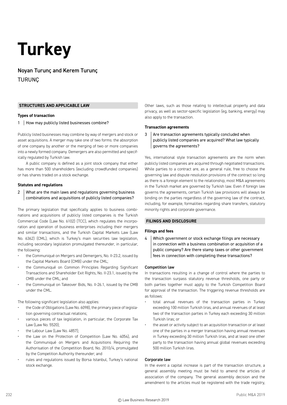### **Turkey**

Noyan Turunç and Kerem Turunç TURUNÇ

#### **STRUCTURES AND APPLICABLE LAW**

#### **Types of transaction**

#### 1 | How may publicly listed businesses combine?

Publicly listed businesses may combine by way of mergers and stock or asset acquisitions. A merger may take one of two forms: the absorption of one company by another or the merging of two or more companies into a newly formed company. Demergers are also permitted and specifically regulated by Turkish law.

A public company is defined as a joint stock company that either has more than 500 shareholders (excluding crowdfunded companies) or has shares traded on a stock exchange.

#### **Statutes and regulations**

2 What are the main laws and regulations governing business combinations and acquisitions of publicly listed companies?

The primary legislation that specifically applies to business combinations and acquisitions of publicly listed companies is the Turkish Commercial Code (Law No. 6102) (TCC), which regulates the incorporation and operation of business enterprises including their mergers and similar transactions, and the Turkish Capital Markets Law (Law No. 6362) (CML), which is Turkey's main securities law legislation, including secondary legislation promulgated thereunder, in particular, the following:

- the Communiqué on Mergers and Demergers, No. II-23.2, issued by the Capital Markets Board (CMB) under the CML;
- the Communiqué on Common Principles Regarding Significant Transactions and Shareholder Exit Rights, No. II-23.1, issued by the CMB under the CML; and
- the Communiqué on Takeover Bids, No. II-26.1, issued by the CMB under the CML.

The following significant legislation also applies:

- the Code of Obligations (Law No. 6098), the primary piece of legislation governing contractual relations;
- various pieces of tax legislation, in particular, the Corporate Tax Law (Law No. 5520);
- the Labour Law (Law No. 4857);
- the Law on the Protection of Competition (Law No. 4054), and the Communiqué on Mergers and Acquisitions Requiring the Authorisation of the Competition Board, No. 2010/4, promulgated by the Competition Authority thereunder; and
- rules and regulations issued by Borsa Istanbul, Turkey's national stock exchange.

Other laws, such as those relating to intellectual property and data privacy, as well as sector-specific legislation (eg, banking, energy) may also apply to the transaction.

#### **Transaction agreements**

3 Are transaction agreements typically concluded when publicly listed companies are acquired? What law typically governs the agreements?

Yes, international style transaction agreements are the norm when publicly listed companies are acquired through negotiated transactions. While parties to a contract are, as a general rule, free to choose the governing law and dispute resolution provisions of the contract so long as there is a foreign element to the relationship, most M&A agreements in the Turkish market are governed by Turkish law. Even if foreign law governs the agreements, certain Turkish law provisions will always be binding on the parties regardless of the governing law of the contract, including, for example, formalities regarding share transfers, statutory minority rights and corporate governance.

#### **FILINGS AND DISCLOSURE**

#### **Filings and fees**

4 Which government or stock exchange filings are necessary in connection with a business combination or acquisition of a public company? Are there stamp taxes or other government fees in connection with completing these transactions?

#### Competition law

In transactions resulting in a change of control where the parties to the transaction surpass statutory revenue thresholds, one party or both parties together must apply to the Turkish Competition Board for approval of the transaction. The triggering revenue thresholds are as follows:

- total annual revenues of the transaction parties in Turkey exceeding 100 million Turkish liras, and annual revenues of at least two of the transaction parties in Turkey each exceeding 30 million Turkish liras; or
- the asset or activity subject to an acquisition transaction or at least one of the parties in a merger transaction having annual revenues in Turkey exceeding 30 million Turkish liras, and at least one other party to the transaction having annual global revenues exceeding 500 million Turkish liras.

#### Corporate law

In the event a capital increase is part of the transaction structure, a general assembly meeting must be held to amend the articles of association of the company. The general assembly decision and the amendment to the articles must be registered with the trade registry,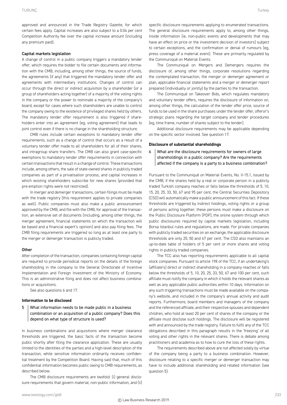#### Capital markets legislation

A change of control in a public company triggers a mandatory tender offer, which requires the bidder to file certain documents and information with the CMB, including, among other things, the source of funds, the agreements (if any) that triggered the mandatory tender offer and agreements with intermediary institutions. Changes of control can occur through the direct or indirect acquisition by a shareholder (or a group of shareholders acting together) of a majority of the voting rights in the company or the power to nominate a majority of the company's board, except for cases where such shareholders are unable to control the company owing to the existence of privileged shares held by others. The mandatory tender offer requirement is also triggered if shareholders enter into an agreement (eg, voting agreement) that leads to joint control even if there is no change in the shareholding structure.

CMB rules include certain exceptions to mandatory tender offer requirements, such as a change of control that occurs as a result of a voluntary tender offer made to all shareholders for all of their shares, and intragroup share transfers. The CMB can also grant case-specific exemptions to mandatory tender offer requirements in connection with certain transactions that result in a change of control. These transactions include, among others, the sale of state-owned shares in publicly traded companies as part of a privatisation process, and capital increases in which existing shareholders subscribe for new shares (provided that pre-emption rights were not restricted).

In merger and demerger transactions, certain filings must be made with the trade registry (this requirement applies to private companies as well). Public companies must also make a public announcement approved by the CMB, and file with the CMB, for approval of the transaction, an extensive set of documents (including, among other things, the merger agreement, financial statements on which the transaction will be based and a financial expert's opinion) and also pay filing fees. The CMB filing requirements are triggered so long as at least one party to the merger or demerger transaction is publicly traded.

#### **Other**

After completion of the transaction, companies containing foreign capital are required to provide periodical reports on the details of the foreign shareholding in the company to the General Directorate of Incentive Implementation and Foreign Investment of the Ministry of Economy. This is an administrative filing and does not affect business combinations or acquisitions.

See also questions 6 and 17.

#### **Information to be disclosed**

5 What information needs to be made public in a business combination or an acquisition of a public company? Does this depend on what type of structure is used?

In business combinations and acquisitions where merger clearance thresholds are triggered, the basic facts of the transaction become public shortly after filing the clearance application. These are usually limited to the identities of the parties and a high-level description of the transaction, while sensitive information ordinarily receives confidential treatment by the Competition Board. Having said that, much of this confidential information becomes public owing to CMB requirements, as described below.

The CMB disclosure requirements are twofold: (i) general disclosure requirements that govern material, non-public information; and (ii) specific disclosure requirements applying to enumerated transactions. The general disclosure requirements apply to, among other things, inside information (ie, non-public events and developments that may have an effect on price or the investment decision of investors) subject to certain exceptions, and the confirmation or denial of rumours (eg, press coverage of a material event). These are primarily regulated by the Communiqué on Material Events.

The Communiqué on Mergers and Demergers requires the disclosure of, among other things, corporate resolutions regarding the contemplated transaction, the merger or demerger agreement or plan, applicable financial statements and a merger or demerger report prepared (individually or jointly) by the parties to the transaction.

The Communiqué on Takeover Bids, which regulates mandatory and voluntary tender offers, requires the disclosure of information on, among other things, the calculation of the tender offer price, source of funds to be used in the share purchases under the tender offer, offeror's strategic plans regarding the target company and tender procedures (eg, time frame, number of shares subject to the tender).

Additional disclosure requirements may be applicable depending on the specific sector involved. See question 17.

#### **Disclosure of substantial shareholdings**

6 What are the disclosure requirements for owners of large shareholdings in a public company? Are the requirements affected if the company is a party to a business combination?

Pursuant to the Communiqué on Material Events, No. II-15.1, issued by the CMB, if the shares held by a real or corporate person in a publicly traded Turkish company reaches or falls below the thresholds of 5, 10, 15, 20, 25, 33, 50, 67 and 95 per cent, the Central Securities Depository (CSD) will automatically make a public announcement of this fact. If these thresholds are triggered by indirect holdings, voting rights or a group of persons acting together, these persons must make a disclosure on the Public Disclosure Platform (PDP), the online system through which public disclosures required by capital markets legislation, including Borsa Istanbul rules and regulations, are made. For private companies with publicly traded securities on an exchange, the applicable disclosure thresholds are only 25, 50 and 67 per cent. The CSD also maintains an up-to-date table of holders of 5 per cent or more shares and voting rights in publicly traded companies.

The TCC also has reporting requirements applicable to all capital stock companies. Pursuant to article 198 of the TCC, if an undertaking's (affiliate's) direct or indirect shareholding in a company reaches or falls below the thresholds of 5, 10, 20, 25, 33, 50, 67 and 100 per cent, such affiliate must notify the company in which it holds the relevant shares as well as any applicable public authorities within 10 days. Information on any such triggering transactions must be made available on the company's website, and included in the company's annual activity and audit reports. Furthermore, board members and managers of the company and the referenced affiliate, and their respective spouses and dependent children, who hold at least 20 per cent of shares of the company or the affiliate must disclose such holdings. The disclosure will be registered with and announced by the trade registry. Failure to fulfil any of the TCC obligations described in this paragraph results in the 'freezing' of all voting and other rights in the relevant shares. There is debate among practitioners and academia as to how to cure the loss of these rights.

The requirements described above are not affected solely by virtue of the company being a party to a business combination. However, disclosure relating to a specific merger or demerger transaction may have to include additional shareholding and related information (see question 5).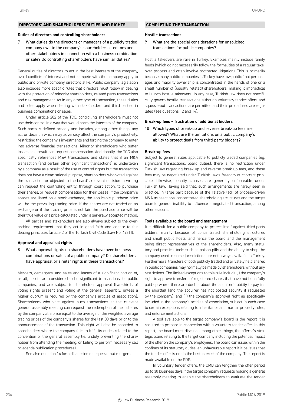#### **DIRECTORS' AND SHAREHOLDERS' DUTIES AND RIGHTS**

#### **Duties of directors and controlling shareholders**

7 | What duties do the directors or managers of a publicly traded company owe to the company's shareholders, creditors and other stakeholders in connection with a business combination or sale? Do controlling shareholders have similar duties?

General duties of directors to act in the best interests of the company, avoid conflicts of interest and not compete with the company apply to public and private company directors alike. Public company legislation also includes more specific rules that directors must follow in dealing with the protection of minority shareholders, related party transactions and risk management. As in any other type of transaction, these duties and rules apply when dealing with stakeholders and third parties in business combinations or sales.

Under article 202 of the TCC, controlling shareholders must not use their control in a way that would harm the interests of the company. Such harm is defined broadly and includes, among other things, any act or decision which may adversely affect the company's productivity, restricting the company's investments and forcing the company to enter into adverse financial transactions. Minority shareholders who suffer losses as a result can request compensation. Additionally, the TCC also specifically references M&A transactions and states that if an M&A transaction (and certain other significant transactions) is undertaken by a company as a result of the use of control rights but the transaction does not have a clear rational purpose, shareholders who voted against the transaction or objected to the board's relevant decision in writing can request the controlling entity, through court action, to purchase their shares, or request compensation for their losses. If the company's shares are listed on a stock exchange, the applicable purchase price will be the prevailing trading price. If the shares are not traded on an exchange or if the trading price is not fair, the purchase price will be their true value or a price calculated under a generally accepted method.

All parties and stakeholders are also always subject to the overarching requirement that they act in good faith and adhere to fair dealing principles (article 2 of the Turkish Civil Code (Law No. 4721)).

#### **Approval and appraisal rights**

8 What approval rights do shareholders have over business combinations or sales of a public company? Do shareholders have appraisal or similar rights in these transactions?

Mergers, demergers, and sales and leases of a significant portion of, or all, assets are considered to be significant transactions for public companies, and are subject to shareholder approval (two-thirds of voting rights present and voting at the general assembly, unless a higher quorum is required by the company's articles of association). Shareholders who vote against such transactions at the relevant general assembly meeting can request the redemption of their shares by the company at a price equal to the average of the weighted average trading prices of the company's shares for the last 30 days prior to the announcement of the transaction. This right will also be accorded to shareholders where the company fails to fulfil its duties related to the convention of the general assembly (ie, unduly preventing the shareholder from attending the meeting, or failing to perform necessary call or agenda publication procedures).

See also question 14 for a discussion on squeeze-out mergers.

#### **COMPLETING THE TRANSACTION**

#### **Hostile transactions**

#### 9 What are the special considerations for unsolicited transactions for public companies?

Hostile takeovers are rare in Turkey. Examples mainly include family feuds (which do not necessarily follow the formalities of a regular takeover process and often involve protracted litigation). This is primarily because many public companies in Turkey have low public float percentages and majority ownership is concentrated in the hands of one or a small number of (usually related) shareholders, making it impractical to launch hostile takeovers. In any case, Turkish law does not specifically govern hostile transactions although voluntary tender offers and squeeze-out transactions are permitted and their procedures are regulated (see questions 12 and 14).

#### **Break-up fees – frustration of additional bidders**

10 Which types of break-up and reverse break-up fees are allowed? What are the limitations on a public company's ability to protect deals from third-party bidders?

#### Break-up fees

Subject to general rules applicable to publicly traded companies (eg, significant transactions, board duties), there is no restriction under Turkish law regarding break-up and reverse break-up fees, and these fees may be negotiated under Turkish law's freedom of contract principle. Likewise, penalty clauses are generally enforceable under Turkish law. Having said that, such arrangements are rarely seen in practice, in large part because of the relative lack of process-driven M&A transactions, concentrated shareholding structures and the target board's general inability to influence a negotiated transaction, among other reasons.

#### Tools available to the board and management

It is difficult for a public company to protect itself against third-party bidders, mainly because of concentrated shareholding structures and small public floats, and hence the board and the management being direct representatives of the shareholders. Also, many statutory and practical tools such as poison pills and the ability to shop the company used in some jurisdictions are not always available in Turkey. Furthermore, transfers of both publicly traded and privately held shares in public companies may normally be made by shareholders without any restrictions. The limited exceptions to this rule include (i) the company's right to approve transfers of registered shares that have not been fully paid up where there are doubts about the acquirer's ability to pay for the shortfall (and the acquirer has not posted security if requested by the company); and (ii) the company's approval right as specifically included in the company's articles of association, subject in each case to certain exceptions relating to inheritance and marital property rules, and enforcement actions.

A tool available to the target company's board is the report it is required to prepare in connection with a voluntary tender offer. In this report, the board must discuss, among other things, the offeror's strategic plans relating to the target company including the potential impact of the offer on the company's employees. The board can issue, within the confines of its statutory duties, an unfavourable report if it believes that the tender offer is not in the best interest of the company. The report is made available on the PDP.

In voluntary tender offers, the CMB can lengthen the offer period up to 30 business days if the target company requests holding a general assembly meeting to enable the shareholders to evaluate the tender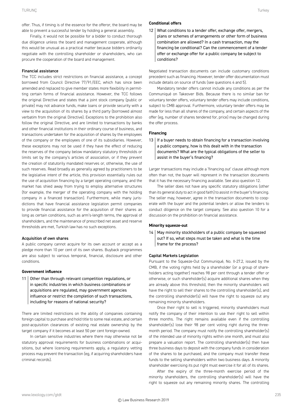offer. Thus, if timing is of the essence for the offeror, the board may be able to prevent a successful tender by holding a general assembly.

Finally, it would not be possible for a bidder to conduct thorough due diligence unless the board and management cooperate, although this would be unusual as a practical matter because bidders ordinarily negotiate with the controlling shareholder or shareholders, who can procure the cooperation of the board and management.

#### Financial assistance

The TCC includes strict restrictions on financial assistance, a concept borrowed from Council Directive 77/91/EEC, which has since been amended and replaced to give member states more flexibility in permitting certain forms of financial assistance. However, the TCC follows the original Directive and states that a joint stock company (public or private) may not advance funds, make loans or provide security with a view to the acquisition of its shares by a third party (borrowed almost verbatim from the original Directive). Exceptions to the prohibition also follow the original Directive, and are limited to transactions by banks and other financial institutions in their ordinary course of business, and transactions undertaken for the acquisition of shares by the employees of the company or the employees of one of its subsidiaries. However, these exceptions may not be used if they have the effect of reducing the reserves of the company below mandatory statutory thresholds or limits set by the company's articles of association, or if they prevent the creation of statutorily mandated reserves or, otherwise, the use of such reserves. Read broadly as generally agreed by practitioners to be the legislative intent of the article, this provision essentially rules out the use of acquisition financing by a target operating company, and the market has shied away from trying to employ alternative structures (for example, the merger of the operating company with the holding company in a financed transaction). Furthermore, while many jurisdictions that have financial assistance legislation permit companies to provide financial assistance for the acquisition of their shares as long as certain conditions, such as arm's-length terms, the approval of shareholders, and the maintenance of prescribed net asset and reserve thresholds are met, Turkish law has no such exceptions.

#### Acquisition of own shares

A public company cannot acquire for its own account or accept as a pledge more than 10 per cent of its own shares. Buyback programmes are also subject to various temporal, financial, disclosure and other conditions.

#### **Government influence**

11 | Other than through relevant competition regulations, or in specific industries in which business combinations or acquisitions are regulated, may government agencies influence or restrict the completion of such transactions, including for reasons of national security?

There are limited restrictions on the ability of companies containing foreign capital to purchase and hold title to some real estate, and certain post-acquisition clearances of existing real estate ownership by the target company if it becomes at least 50 per cent foreign-owned.

In certain sensitive industries where there may otherwise not be statutory approval requirements for business combinations or acquisitions, but where licensing requirements apply, a regulatory vetting process may prevent the transaction (eg, if acquiring shareholders have criminal records).

#### **Conditional offers**

12 What conditions to a tender offer, exchange offer, mergers, plans or schemes of arrangements or other form of business combination are allowed? In a cash transaction, may the financing be conditional? Can the commencement of a tender offer or exchange offer for a public company be subject to conditions?

Negotiated transaction documents can include customary conditions precedent such as financing. However, tender offer documentation must include details on source of funds (see questions 4 and 5).

Mandatory tender offers cannot include any conditions as per the Communiqué on Takeover Bids. Because there is no similar ban for voluntary tender offers, voluntary tender offers may include conditions, subject to CMB approval. Furthermore, voluntary tender offers may be made for less than all shares of the company, and certain aspects of the offer (eg, number of shares tendered for, price) may be changed during the offer process.

#### **Financing**

13 | If a buyer needs to obtain financing for a transaction involving a public company, how is this dealt with in the transaction documents? What are the typical obligations of the seller to assist in the buyer's financing?

Larger transactions may include a 'financing out' clause although more often than not, the buyer will represent in the transaction documents that it has the necessary financing available. See also question 12.

The seller does not have any specific statutory obligations (other than its general duty to act in good faith) to assist in the buyer's financing. The seller may, however, agree in the transaction documents to cooperate with the buyer and the potential lenders or allow the lenders to conduct diligence on the target company. See also question 10 for a discussion on the prohibition on financial assistance.

#### **Minority squeeze-out**

14 | May minority stockholders of a public company be squeezed out? If so, what steps must be taken and what is the time frame for the process?

#### Capital Markets Legislation

Pursuant to the Squeeze-Out Communiqué, No. II-27.2, issued by the CMB, if the voting rights held by a shareholder (or a group of shareholders acting together) reaches 98 per cent through a tender offer or otherwise, or such shareholder(s) acquire additional shares when they are already above this threshold, then the minority shareholders will have the right to sell their shares to the controlling shareholder(s), and the controlling shareholder(s) will have the right to squeeze out any remaining minority shareholders.

Once their right to sell is triggered, minority shareholders must notify the company of their intention to use their right to sell within three months. The right remains available even if the controlling shareholder(s) lose their 98 per cent voting right during the threemonth period. The company must notify the controlling shareholder(s) of the intended use of minority rights within one month, and must also prepare a valuation report. The controlling shareholder(s) then have three business days to deposit with the company funds in consideration of the shares to be purchased, and the company must transfer these funds to the selling shareholders within two business days. A minority shareholder exercising its put right must exercise it for all of its shares.

After the expiry of the three-month exercise period of the minority shareholders, the controlling shareholder(s) will have the right to squeeze out any remaining minority shares. The controlling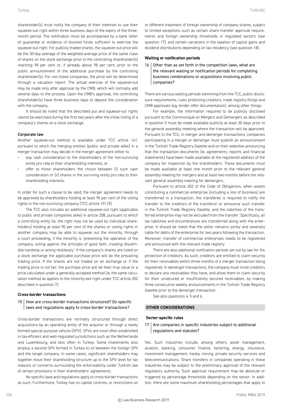shareholder(s) must notify the company of their intention to use their squeeze-out right within three business days of the expiry of the threemonth period. The notification must be accompanied by a bank letter of guarantee or evidence of blocked funds sufficient to exercise the squeeze-out right. For publicly traded shares, the squeeze-out price will be the 30-day average of the weighted average price of the same class of shares on the stock exchange prior to the controlling shareholder(s) reaching 98 per cent or, if already above 98 per cent, prior to the public announcement of the additional purchase by the controlling shareholder(s). For non-listed companies, the price will be determined through a valuation report. The actual exercise of the squeeze-out may be made only after approval by the CMB, which will normally add several days to the process. Upon the CMB's approval, the controlling shareholder(s) have three business days to deposit the consideration with the company.

It should be noted that the described put and squeeze-out rights cannot be exercised during the first two years after the initial listing of a company's shares on a stock exchange.

#### Corporate law

Another squeeze-out method is available under TCC article 141, pursuant to which the merging entities (public and private alike) in a merger transaction may decide in the merger agreement either to:

- pay cash consideration to the shareholders of the non-surviving entity pro rata to their shareholding interests; or
- offer to those shareholders the choice between (i) such cash consideration or (ii) shares in the surviving entity pro rata to their shareholding interests.

In order for such a clause to be valid, the merger agreement needs to be approved by shareholders holding at least 90 per cent of the voting rights in the non-surviving company (TCC article 151/5).

The TCC also includes an additional squeeze-out right (applicable to public and private companies alike) in article 208, pursuant to which a controlling entity (ie, the right may not be used by individual shareholders) holding at least 90 per cent of the shares or voting rights in another company may be able to squeeze out the minority, through a court proceeding, if the minority is 'preventing the operation of the company, acting against the principle of good faith, creating discernible hardship or acting recklessly'. If the company's shares are listed on a stock exchange the applicable purchase price will be the prevailing trading price. If the shares are not traded on an exchange or if the trading price is not fair, the purchase price will be their true value or a price calculated under a generally accepted method (ie, the same calculation method as applies to the minority exit right under TCC article 202 described in question 7).

#### **Cross-border transactions**

#### 15 | How are cross-border transactions structured? Do specific laws and regulations apply to cross-border transactions?

Cross-border transactions are normally structured through direct acquisitions by an operating entity of the acquirer or through a newly formed special purpose vehicle (SPV). SPVs are most often established in tax-efficient and well-regulated jurisdictions such as the Netherlands and Luxembourg, and less often in Turkey. Some investments also employ a second SPV formed in Turkey to sit between the foreign SPV and the target company. In some cases, significant shareholders may together move their shareholding structure up to the SPV level for tax reasons or concerns surrounding the enforceability under Turkish law of certain provisions in their shareholders' agreements.

No specific laws and regulations apply to cross-border transactions as such. Furthermore, Turkey has no capital controls, or restrictions on or different treatment of foreign ownership of company shares, subject to limited exceptions such as certain share transfer approval requirements and foreign ownership thresholds in regulated sectors (see question 17), and certain variations in the taxation of capital gains and dividend distributions depending on tax residency (see question 18).

#### **Waiting or notification periods**

16 Other than as set forth in the competition laws, what are the relevant waiting or notification periods for completing business combinations or acquisitions involving public companies?

There are various waiting periods stemming from the TCC, public disclosure requirements, rules protecting creditors, trade registry filings and CMB approvals (eg, tender offer documentation), among other things.

For example, the information required to be publicly disclosed pursuant to the Communiqué on Mergers and Demergers as described in question 5 must be made available publicly at least 30 days prior to the general assembly meeting where the transaction will be approved. Pursuant to the TCC, in merger and demerger transactions, companies participating in a merger or demerger must publish an announcement in the Turkish Trade Registry Gazette and on their websites announcing that the transaction documents (ie, agreements, reports and financial statements) have been made available at the registered address of the company for inspection by the shareholders. These documents must be made available at least one month prior to the relevant general assembly meeting for mergers and at least two months before the relevant general assembly meeting for demergers.

Pursuant to article 202 of the Code of Obligations, when assets constituting a commercial enterprise (including a line of business) are transferred in a transaction, the transferee is required to notify the transfer to the creditors of the transferor or announce such transfer in the Turkish Trade Registry Gazette, and the liabilities of the transferred enterprise may not be excluded from the transfer. Specifically, all tax liabilities and encumbrances are transferred along with the enterprise. It should be noted that the seller remains jointly and severally liable for debts of the enterprise for two years following the transaction. Moreover, transfer of commercial enterprises needs to be registered and announced with the relevant trade registry.

There are also additional notification periods set out by law for the protection of creditors. As such, creditors are entitled to claim security for their receivables within three months of a merger transaction being registered. In demerger transactions, the company must invite creditors to declare any receivables they have, and allow them to claim security for their unsecured or insufficiently secured receivables, by making three consecutive weekly announcements in the Turkish Trade Registry Gazette prior to the demerger transaction.

See also questions 4, 5 and 6.

#### **OTHER CONSIDERATIONS**

#### **Sector-specific rules**

#### $17$  Are companies in specific industries subject to additional regulations and statutes?

Yes. Such industries include, among others, asset management, aviation, banking, consumer finance, factoring, energy, insurance, investment management, media, mining, private security services and telecommunications. Share transfers in companies operating in these industries may be subject to the preliminary approval of the relevant regulatory authority. Such approval requirement may be absolute or triggered by percentage thresholds depending on the sector. In addition, there are some maximum shareholding percentages that apply to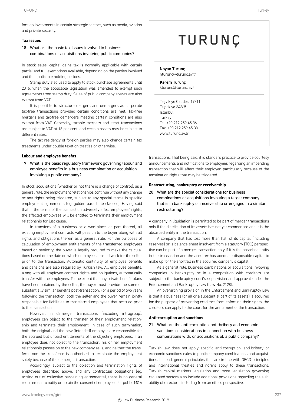#### **Tax issues**

18 What are the basic tax issues involved in business combinations or acquisitions involving public companies?

In stock sales, capital gains tax is normally applicable with certain partial and full exemptions available, depending on the parties involved and the applicable holding periods.

Stamp duty also used to apply to stock purchase agreements until 2016, when the applicable legislation was amended to exempt such agreements from stamp duty. Sales of public company shares are also exempt from VAT.

It is possible to structure mergers and demergers as corporate tax-free transactions provided certain conditions are met. Tax-free mergers and tax-free demergers meeting certain conditions are also exempt from VAT. Generally, taxable mergers and asset transactions are subject to VAT at 18 per cent, and certain assets may be subject to different rates.

The tax residency of foreign parties may also change certain tax treatments under double taxation treaties or otherwise.

#### **Labour and employee benefits**

19 What is the basic regulatory framework governing labour and employee benefits in a business combination or acquisition involving a public company?

In stock acquisitions (whether or not there is a change of control), as a general rule, the employment relationships continue without any change or any rights being triggered, subject to any special terms in specific employment agreements (eg, golden parachute clauses). Having said that, if the terms of the transaction adversely affect employees' rights, the affected employees will be entitled to terminate their employment relationship for just cause.

In transfers of a business or a workplace, or part thereof, all existing employment contracts will pass on to the buyer along with all rights and obligations therein as a general rule. For the purposes of calculation of employment entitlements of the transferred employees based on seniority, the buyer is legally required to make the calculations based on the date on which employees started work for the seller prior to the transaction. Automatic continuity of employee benefits and pensions are also required by Turkish law. All employee benefits, along with all employee contract rights and obligations, automatically transfer with the employees. To the extent that any private benefit plans have been obtained by the seller, the buyer must provide the same or substantially similar benefits post-transaction. For a period of two years following the transaction, both the seller and the buyer remain jointly responsible for liabilities to transferred employees that accrued prior to the transaction.

However, in demerger transactions (including intragroup), employees can object to the transfer of their employment relationship and terminate their employment. In case of such termination, both the original and the new (intended) employer are responsible for the accrued but unpaid entitlements of the objecting employees. If an employee does not object to the transaction, his or her employment relationship passes on to the new company as is, and neither the transferor nor the transferee is authorised to terminate the employment solely because of the demerger transaction.

Accordingly, subject to the objection and termination rights of employees described above, and any contractual obligations (eg, arising out of collective bargaining agreements), there is no general requirement to notify or obtain the consent of employees for public M&A

### TURUNÇ

Noyan Turunç nturunc@turunc.av.tr

Kerem Turunç kturunc@turunc.av.tr

Teşvikiye Caddesi 19/11 Teşvikiye 34365 Istanbul **Turkey** Tel: +90 212 259 45 36 Fax: +90 212 259 45 38 www.turunc.av.tr

transactions. That being said, it is standard practice to provide courtesy announcements and notifications to employees regarding an impending transaction that will affect their employer, particularly because of the termination rights that may be triggered.

#### **Restructuring, bankruptcy or receivership**

#### 20 What are the special considerations for business combinations or acquisitions involving a target company that is in bankruptcy or receivership or engaged in a similar restructuring?

A company in liquidation is permitted to be part of merger transactions only if the distribution of its assets has not yet commenced and it is the absorbed entity in the transaction.

A company that has lost more than half of its capital (including reserves) or is balance-sheet insolvent from a statutory (TCC) perspective can be part of a merger transaction only if it is the absorbed entity in the transaction and the acquirer has adequate disposable capital to make up for the shortfall in the acquired company's capital.

As a general rule, business combinations or acquisitions involving companies in bankruptcy or in a composition with creditors are subject to the bankruptcy court's supervision and approval under the Enforcement and Bankruptcy Law (Law No. 2128).

An overarching provision in the Enforcement and Bankruptcy Law is that if a business (or all or a substantial part of its assets) is acquired for the purpose of preventing creditors from enforcing their rights, the creditors can apply to the court for the annulment of the transaction.

#### **Anti-corruption and sanctions**

#### 21 What are the anti-corruption, anti-bribery and economic sanctions considerations in connection with business combinations with, or acquisitions of, a public company?

Turkish law does not apply specific anti-corruption, anti-bribery or economic sanctions rules to public company combinations and acquisitions. Instead, general principles that are in line with OECD principles and international treaties and norms apply to these transactions. Turkish capital markets legislation and most legislation governing regulated sectors also include additional provisions regarding the suitability of directors, including from an ethics perspective.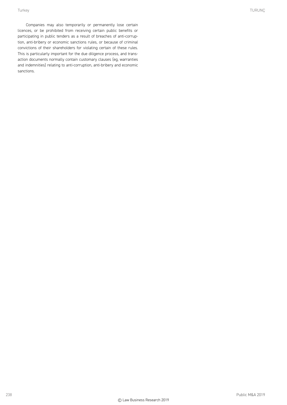Companies may also temporarily or permanently lose certain licences, or be prohibited from receiving certain public benefits or participating in public tenders as a result of breaches of anti-corruption, anti-bribery or economic sanctions rules, or because of criminal convictions of their shareholders for violating certain of these rules. This is particularly important for the due diligence process, and transaction documents normally contain customary clauses (eg, warranties and indemnities) relating to anti-corruption, anti-bribery and economic sanctions.